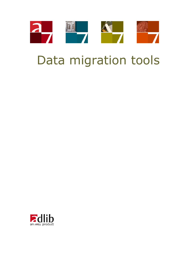

# Data migration tools

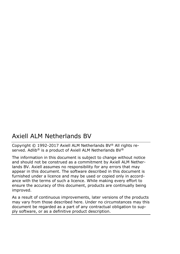# Axiell ALM Netherlands BV

Copyright © 1992-2017 Axiell ALM Netherlands BV® All rights reserved. Adlib<sup>®</sup> is a product of Axiell ALM Netherlands BV<sup>®</sup>

The information in this document is subject to change without notice and should not be construed as a commitment by Axiell ALM Netherlands BV. Axiell assumes no responsibility for any errors that may appear in this document. The software described in this document is furnished under a licence and may be used or copied only in accordance with the terms of such a licence. While making every effort to ensure the accuracy of this document, products are continually being improved.

As a result of continuous improvements, later versions of the products may vary from those described here. Under no circumstances may this document be regarded as a part of any contractual obligation to supply software, or as a definitive product description.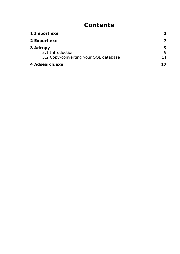# **Contents**

| 1 Import.exe                          | 2  |
|---------------------------------------|----|
| 2 Export.exe                          | 7  |
| 3 Adcopy                              | 9  |
| 3.1 Introduction                      | q  |
| 3.2 Copy-converting your SQL database | 11 |
| 4 Adsearch.exe                        |    |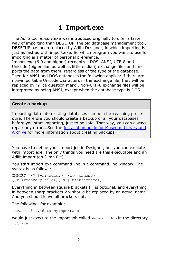# <span id="page-3-0"></span>**1 Import.exe**

The Adlib tool *import.exe* was introduced originally to offer a faster way of importing than DBSETUP, the old database management tool. DBSETUP has been replaced by Adlib Designer, in which importing is just as fast as with import.exe. So which program you want to use for importing is a matter of personal preference.

Import.exe (6.0 and higher) recognizes DOS, ANSI, UTF-8 and Unicode (big endian as well as little endian) exchange files and imports the data from them, regardless of the type of the database. Then for ANSI and DOS databases the following applies: if there are non-importable Unicode characters in the exchange file, they will be replaced by "?" (a question mark). Non-UTF-8 exchange files will be interpreted as being ANSI, except when the database type is DOS.

#### **Create a backup**

Importing data into existing databases can be a far-reaching procedure. Therefore you should create a backup of all your databases before you start importing, just to be safe. That way, you can always repair any errors. See the [Installation guide for Museum, Library and](http://www.adlibsoft.com/support/manuals/installation-guides/installation-of-adlib-museum-library-and-archive)  [Archive](http://www.adlibsoft.com/support/manuals/installation-guides/installation-of-adlib-museum-library-and-archive) for more information about creating backups.

You have to define your import job in Designer, but you can execute it with import.exe. The only things you need are this executable and an Adlib import job (.imp file).

You start import.exe command line in a command line window. The syntax is as follows:

```
IMPORT [-?][-a:<adapl>][-i:<jobname>]
[-r:<recovery file>][-s][-u:<username>]
```
Everything in between square brackets [ ] is optional, and everything in between sharp brackets  $\langle \rangle$  should be replaced by an actual name. And you should leave all brackets out.

The following, for example:

IMPORT –i:..\data\MyImportJob

would just execute the import job called MyImportJob in the directory ..\data.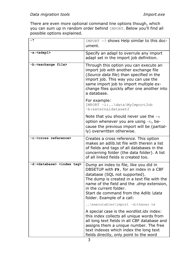There are even more optional command line options though, which you can sum up in random order behind IMPORT. Below you'll find all possible options explained.

| -?                                               | IMPORT -? shows Help similar to this doc-<br>ument.                                                                                                                                                                                                                                                            |
|--------------------------------------------------|----------------------------------------------------------------------------------------------------------------------------------------------------------------------------------------------------------------------------------------------------------------------------------------------------------------|
| -a: <adapl></adapl>                              | Specify an adapl to overrule any import<br>adapl set in the import job definition.                                                                                                                                                                                                                             |
| -b: <exchange file=""></exchange>                | Through this option you can execute an<br>import job with another exchange file<br>(Source data file) than specified in the<br>import job. This way you can use the<br>same import job to import multiple ex-<br>change files quickly after one another into<br>a database.                                    |
|                                                  | For example:<br>IMPORT -i:\data\MyImportJob<br>-b:externaldataset2                                                                                                                                                                                                                                             |
|                                                  | Note that you should never use the $-s$<br>option whenever you are using -b, be-<br>cause the previous import will be (partial-<br>ly) overwritten otherwise.                                                                                                                                                  |
| -c: <cross reference=""></cross>                 | Creates a cross reference. This option<br>makes an adlib. Ist file with therein a list<br>of fields and tags of all databases in the<br>concerning folder (the data folder). A list<br>of all linked fields is created too.                                                                                    |
| -d: <database> <index tag=""></index></database> | Dump an index to file, like you did in<br>DBSETUP with F9, for an index in a CBF<br>database (SQL not supported).<br>The dump is created in a text file with the<br>name of the field and the .dmp extension,<br>in the current folder.<br>Start de command from the Adlib \data<br>folder. Example of a call: |
|                                                  | $\ldots$ $\text{executables}\$ import -d:thesau te                                                                                                                                                                                                                                                             |
|                                                  | A special case is the wordlist.idx index:<br>this index collects all unique words from<br>all long text fields in all CBF database and<br>assigns them a unique number. The free<br>text indexes which index the long text<br>fields directly, only point to the word                                          |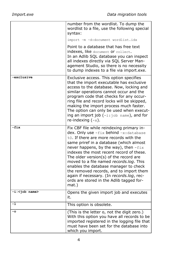|                         | number from the wordlist. To dump the<br>wordlist to a file, use the following special<br>syntax:<br>import -m -d:document wordlist.idx                                                                                                                                                                                                                                                                                                                                                                                                    |
|-------------------------|--------------------------------------------------------------------------------------------------------------------------------------------------------------------------------------------------------------------------------------------------------------------------------------------------------------------------------------------------------------------------------------------------------------------------------------------------------------------------------------------------------------------------------------------|
|                         | Point to a database that has free text<br>indexes, like document or collect.<br>In an Adlib SQL database you can inspect<br>all indexes directly via SQL Server Man-<br>agement Studio, so there is no necessity<br>to dump indexes to a file via import.exe.                                                                                                                                                                                                                                                                              |
| exclusive               | Exclusive access. This option specifies<br>that the import executable has exclusive<br>access to the database. Now, locking and<br>similar operations cannot occur and the<br>program code that checks for any occur-<br>ring file and record locks will be skipped,<br>making the import process much faster.<br>The option can only be used when execut-<br>ing an import job (-i:job name), and for<br>re-indexing $(-x)$ .                                                                                                             |
| -fix                    | Fix CBF file while reindexing primary in-<br>dex. Only use -fix behind -x: database<br>%0. If there are more records with the<br>same priref in a database (which almost<br>never happens, by the way), then $-fix$<br>indexes the most recent record of these.<br>The older version(s) of the record are<br>moved to a file named records.log. This<br>enables the database manager to check<br>the removed records, and to import them<br>again if necessary. (In records.log, rec-<br>ords are stored in the Adlib tagged for-<br>mat.) |
| -i: <job name=""></job> | Opens the given import job and executes<br>it.                                                                                                                                                                                                                                                                                                                                                                                                                                                                                             |
| $-1$                    | This option is obsolete.                                                                                                                                                                                                                                                                                                                                                                                                                                                                                                                   |
| $-\circ$                | (This is the letter o, not the digit zero.)<br>With this option you have all records to be<br>imported registered in the logging file that<br>must have been set for the database into<br>which you import.                                                                                                                                                                                                                                                                                                                                |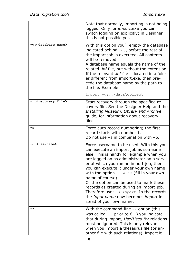|                                   | Note that normally, importing is not being<br>logged. Only for import.exe you can<br>switch logging on explicitly; in Designer<br>this is not possible yet.                                                                                                                                                                                                                                                                                                                                                                             |
|-----------------------------------|-----------------------------------------------------------------------------------------------------------------------------------------------------------------------------------------------------------------------------------------------------------------------------------------------------------------------------------------------------------------------------------------------------------------------------------------------------------------------------------------------------------------------------------------|
| -q: <database name=""></database> | With this option you'll empty the database<br>indicated behind $-q$ :, before the rest of<br>the import job is executed. All contents<br>will be removed!<br>A database name equals the name of the<br>related .inf file, but without the extension.<br>If the relevant .inf file is located in a fold-<br>er different from import.exe, then pre-<br>cede the database name by the path to<br>the file. Example:<br>import -q:\data\collect                                                                                            |
| -r: <recovery file=""></recovery> | Start recovery through the specified re-<br>covery file. See the Designer Help and the<br>Installing Museum, Library and Archive<br>guide, for information about recovery<br>files.                                                                                                                                                                                                                                                                                                                                                     |
| $-\mathbf{s}$                     | Force auto record numbering; the first<br>record starts with number 1.<br>Do not use -s in combination with -b.                                                                                                                                                                                                                                                                                                                                                                                                                         |
| -u: <username></username>         | Force username to be used. With this you<br>can execute an import job as someone<br>else. This is handy for example when you<br>are logged on as administrator on a serv-<br>er at which you run an import job, then<br>you can execute it under your own name<br>with the option -u:erik (fill in your own<br>name of course).<br>Or the option can be used to mark these<br>records as created during an import job.<br>Therefore use: -u: import. In the records<br>the Input name now becomes import in-<br>stead of your own name. |
| -v                                | With the command-line $-v$ option (this<br>was called $-f$ , prior to 6.1) you indicate<br>that during import, Use/Used for relations<br>must be ignored. This is only relevant<br>when you import a thesaurus file (or an-<br>other file with such relations), import it                                                                                                                                                                                                                                                               |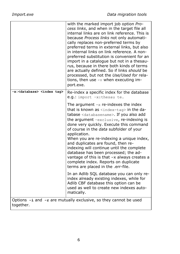|                                                  | with the marked import job option Pro-<br>cess links, and when in the target file all<br>internal links are on link reference. This is<br>because <i>Process links</i> not only automati-<br>cally replaces non-preferred terms by<br>preferred terms in external links, but also<br>in internal links on link reference. A non-<br>preferred substitution is convenient for an<br>import in a catalogue but not in a thesau-<br>rus, because in there both kinds of terms<br>are actually defined. So if links should be<br>processed, but not the Use/Used for rela-<br>tions, then use $-v$ when executing im-<br>port.exe.                                                                                   |
|--------------------------------------------------|------------------------------------------------------------------------------------------------------------------------------------------------------------------------------------------------------------------------------------------------------------------------------------------------------------------------------------------------------------------------------------------------------------------------------------------------------------------------------------------------------------------------------------------------------------------------------------------------------------------------------------------------------------------------------------------------------------------|
| -x: <database> <index tag=""></index></database> | Re-index a specific index for the database<br>e.g.: import -x:thesau te.<br>The argument $-x$ re-indexes the index<br>that is known as <index-tag> in the da-<br/>tabase <databasename>. If you also add<br/>the argument -exclusive, re-indexing is<br/>done very quickly. Execute this command<br/>of course in the data subfolder of your<br/>application.<br/>When you are re-indexing a unique index,<br/>and duplicates are found, then re-<br/>indexing will continue until the complete<br/>database has been processed; the ad-<br/>vantage of this is that <math>-x</math> always creates a<br/>complete index. Reports on duplicate<br/>terms are placed in the .err-file.</databasename></index-tag> |
|                                                  | In an Adlib SQL database you can only re-<br>index already existing indexes, while for<br>Adlib CBF database this option can be<br>used as well to create new indexes auto-<br>matically.                                                                                                                                                                                                                                                                                                                                                                                                                                                                                                                        |
| together.                                        | Options $-i$ and $-r$ are mutually exclusive, so they cannot be used                                                                                                                                                                                                                                                                                                                                                                                                                                                                                                                                                                                                                                             |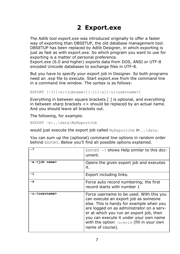# <span id="page-8-0"></span>**2 Export.exe**

The Adlib tool *export.exe* was introduced originally to offer a faster way of exporting than DBSETUP, the old database management tool. DBSETUP has been replaced by Adlib Designer, in which exporting is just as fast as with export.exe. So which program you want to use for exporting is a matter of personal preference.

Export.exe (6.0 and higher) exports data from DOS, ANSI or UTF-8 encoded Unicode databases to exchange files in UTF-8.

But you have to specify your export job in Designer. So both programs need an .exp file to execute. Start export.exe from the command line in a command line window. The syntax is as follows:

```
EXPORT [-?][-e:<jobname>][-l][-s][-u:<username>]
```
Everything in between square brackets [ ] is optional, and everything in between sharp brackets <> should be replaced by an actual name. And you should leave all brackets out.

The following, for example:

EXPORT –e:..\data\MyExportJob

would just execute the export job called MyExportJob in . . \data.

You can sum up the (optional) command line options in random order behind EXPORT. Below you'll find all possible options explained.

| - 2                       | EXPORT $-$ ? shows Help similar to this doc-<br>ument.                                                                                                                                                                                                                                                                          |
|---------------------------|---------------------------------------------------------------------------------------------------------------------------------------------------------------------------------------------------------------------------------------------------------------------------------------------------------------------------------|
| -e: <job name=""></job>   | Opens the given export job and executes<br>it.                                                                                                                                                                                                                                                                                  |
| -1                        | Export including links.                                                                                                                                                                                                                                                                                                         |
| -s                        | Force auto record numbering; the first<br>record starts with number 1                                                                                                                                                                                                                                                           |
| -u: <username></username> | Force username to be used. With this you<br>can execute an export job as someone<br>else. This is handy for example when you<br>are logged on as administrator on a serv-<br>er at which you run an export job, then<br>you can execute it under your own name<br>with the option -u:erik (fill in your own<br>name of course). |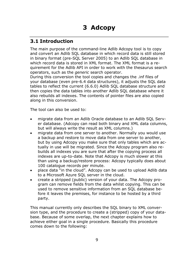### <span id="page-10-1"></span><span id="page-10-0"></span>**3.1 Introduction**

The main purpose of the command-line Adlib Adcopy tool is to copy and convert an Adlib SQL database in which record data is still stored in binary format (pre-SQL Server 2005) to an Adlib SQL database in which record data is stored in XML format. The XML format is a requirement for the Adlib API in order to work with the thesaurus search operators, such as the *generic* search operator.

During this conversion the tool copies and changes the .inf files of your database (even pre-6.4 data structures), it adjusts the SQL data tables to reflect the current (6.6.0) Adlib SQL database structure and then copies the data tables into another Adlib SQL database where it also rebuilds all indexes. The contents of pointer files are also copied along in this conversion.

The tool can also be used to:

- migrate data from an Adlib Oracle database to an Adlib SQL Server database. (Adcopy can read both binary and XML data columns, but will always write the result as XML columns.)
- migrate data from one server to another. Normally you would use a backup and restore to move data from one server to another, but by using Adcopy you make sure that only tables which are actually in use will be migrated. Since the Adcopy program also rebuilds all indexes you are sure that after the copying process all indexes are up-to-date. Note that Adcopy is much slower at this than using a backup/restore process: Adcopy typically does about 100 catalogue records per minute.
- place data "in the cloud". Adcopy can be used to upload Adlib data to a Microsoft Azure SQL server in the cloud.
- create a stripped (public) version of your data. The Adcopy program can remove fields from the data whilst copying. This can be used to remove sensitive information from an SQL database before it leaves the premises, for instance to be hosted by a third party.

This manual currently only describes the SQL binary to XML conversion type, and the procedure to create a (stripped) copy of your database. Because of some overlap, the next chapter explains how to achieve either goal in a single procedure. Basically this procedure comes down to the following: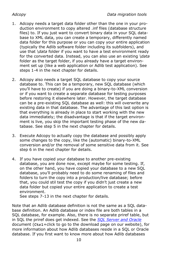- 1. Adcopy needs a target data folder other than the one in your production environment to copy altered .inf files (database structure files) to. If you just want to convert binary data in your SQL database to XML data, you can create a temporary, differently named data folder for this purpose or you can copy your entire application (typically the Adlib software folder including its subfolders), and use that *\data* folder if you want to have a test environment ready for the converted data. Instead, you can also use an existing *\data* folder as the target folder, if you already have a target environment set up (like a web application or Adlib test application). See steps 1-4 in the next chapter for details.
- 2. Adcopy also needs a target SQL database to copy your source database to. This can be a temporary, new SQL database (which you'll have to create) if you are doing a binary-to-XML conversion or if you want to create a separate database for testing purposes before restoring it elsewhere later. However, the target database can be a pre-existing SQL database as well: this will overwrite any existing data in that database. The advantage of this last option is that everything is already in place to start working with the new data immediately; the disadvantage is that if the target environment is live, you skip the important testing phase of the new database. See step 5 in the next chapter for details.
- 3. Execute Adcopy to actually copy the database and possibly apply some changes to the copy, like the (automatic) binary-to-XML conversion and/or the removal of some sensitive data from it. See step 6 in the next chapter for details.
- 4. If you have copied your database to another pre-existing database, you are done now, except maybe for some testing. If, on the other hand, you have copied your database to a new SQL database, you'll probably need to do some renaming of files and folders to turn the copy into a production/live database; before that, you could stil test the copy if you didn't just create a new data folder but copied your entire application to create a test environment.

See steps 7-13 in the next chapter for details.

Note that an Adlib database definition is not the same as a SQL database definition. An Adlib database or index file are both tables in a SQL database, for example. Also, there is no separate priref table, but in SQL the priref does get indexed. See the *[SQL Server and Oracle](http://www.adlibsoft.com/support/manuals/maintenance-guides/sql-server-and-oracle)* document (**Ctrl**+click to go to the download page on our website), for more information about how Adlib databases reside in a SQL or Oracle database. If you first want to know more about how Adlib databases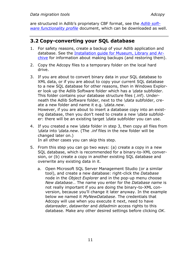are structured in Adlib's proprietary CBF format, see the *[Adlib soft](http://www.adlibsoft.com/support/manuals/user-guides/adlib-software-functionality-profile)[ware functionality profile](http://www.adlibsoft.com/support/manuals/user-guides/adlib-software-functionality-profile)* document, which can be downloaded as well.

### <span id="page-12-0"></span>**3.2 Copy-converting your SQL database**

- 1. For safety reasons, create a backup of your Adlib application and database. See the [Installation guide for Museum, Library and Ar](http://www.adlibsoft.com/support/manuals/installation-guides/installation-of-adlib-museum-library-and-archive)[chive](http://www.adlibsoft.com/support/manuals/installation-guides/installation-of-adlib-museum-library-and-archive) for information about making backups (and restoring them).
- 2. Copy the Adcopy files to a temporary folder on the local hard drive.
- 3. If you are about to convert binary data in your SQL database to XML data, or if you are about to copy your current SQL database to a new SQL database for other reasons, then in Windows Explorer look up the Adlib Software folder which has a *\data* subfolder. This folder contains your database structure files (.inf). Underneath the Adlib Software folder, next to the *\data* subfolder, create a new folder and name it e.g. *\data.new*. However, if you are about to insert a database copy into an existing database, then you don't need to create a new *\data* subfolder: there will be an existing target *\data* subfolder you can use.
- 4. If you created a new *\data* folder in step 3, then copy all files from *\data* into *\data.new*. (The .*inf* files in the new folder will be changed later on.) In all other cases you can skip this step.
- 5. From this step you can go two ways: (a) create a copy in a new SQL database, which is recommended for a binary-to-XML conversion, or (b) create a copy in another existing SQL database and overwrite any existing data in it.
	- a. Open Microsoft SQL Server Management Studio (or a similar tool), and create a new database: right-click the *Database* node in the *Object Explorer* and in the pop-up menu choose *New database*… The name you enter for the *Database name* is not really important if you are doing the binary-to-XML conversion, because you'll change it later anyway. In the example below we named it *MyNewDatabase*. The credentials that Adcopy will use when you execute it next, need to have *datareader*, *datawriter* and *ddladmin* access rights to this database. Make any other desired settings before clicking *OK*.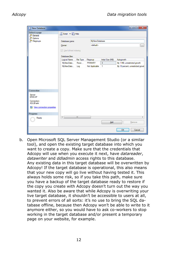| <b>New Database</b><br>Ħ   |                          |           |                |                      |                   |            | $\mathbf{x}$<br>وادر              |
|----------------------------|--------------------------|-----------|----------------|----------------------|-------------------|------------|-----------------------------------|
| Select a page<br>General   | Script v B Help          |           |                |                      |                   |            |                                   |
| Options<br>Filegroups      | Database name:           |           |                | <b>MyNewDatabase</b> |                   |            |                                   |
|                            | Owner:                   |           |                | <default></default>  |                   |            | $\sim$                            |
|                            | Use full-text indexing   |           |                |                      |                   |            |                                   |
|                            | Database files:          |           |                |                      |                   |            |                                   |
|                            | <b>Logical Name</b>      | File Type | Filegroup      |                      | Initial Size (MB) | Autogrowth |                                   |
|                            | MyNewData                | Rows      | PRIMARY        |                      | $\overline{3}$    |            | By 1 MB, unrestricted growth      |
|                            | MyNewData                | Log       | Not Applicable |                      | 1                 |            | By 10 percent, unrestricted growt |
| Connection                 |                          |           |                |                      |                   |            |                                   |
| Server:<br><b>ERIK-HP</b>  |                          |           |                |                      |                   |            |                                   |
| Connection:<br>ADLIB\erik  |                          |           |                |                      |                   |            |                                   |
| View connection properties |                          |           |                |                      |                   |            |                                   |
| <b>Progress</b>            |                          |           |                |                      |                   |            |                                   |
| Ready                      | $\overline{\phantom{a}}$ | Ш         |                |                      | Add               |            | $\mathfrak{h}$<br>Remove          |
|                            |                          |           |                |                      |                   | OK         | Cancel                            |

b. Open Microsoft SQL Server Management Studio (or a similar tool), and open the existing target database into which you want to create a copy. Make sure that the credentials that Adcopy will use when you execute it next, have *datareader*, *datawriter* and *ddladmin* access rights to this database. Any existing data in this target database will be overwritten by Adcopy! If the target database is operational, this also means that your new copy will go live without having tested it. This always holds some risk, so if you take this path, make sure you have a backup of the target database ready to restore if the copy you create with Adcopy doesn't turn out the way you wanted it. Also be aware that while Adcopy is overwriting your live target database, it shouldn't be accessible to users at all, to prevent errors of all sorts: it's no use to bring the SQL database offline, because then Adcopy won't be able to write to it anymore either, so you would have to ask co-workers to stop working in the target database and/or present a temporary page on your website, for example.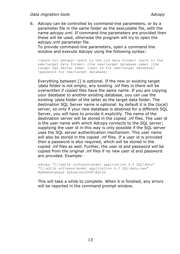6. Adcopy can be controlled by command-line parameters, or by a parameter file in the same folder as the executable file, with the name *adcopy.xml*. If command-line parameters are provided then these will be used, otherwise the program will try to open the *adcopy.xml* parameter file.

To provide command-line parameters, open a command line window and execute Adcopy using the following syntax:

<(path to) adcopy> <path to the old data folder> <path to the new/target data folder> <the new/target database name> [the target SQL Server name] [user id for new/target database] [password for new/target database]

Everything between [] is optional. If the new or existing target *\data* folder is not empty, any existing .inf files in there will be overwritten if copied files have the same name. If you are copying your database to another existing database, you can use the existing *\data* folder of the latter as the target data folder. The destination SQL Server name is optional: by default it is the (local) server, so only if your new database is destined for a different SQL Server, you will have to provide it explicitly. The name of the destination server will be stored in the copied .inf files. The user id is the user name with which Adcopy connects to the SQL server; supplying the user id in this way is only possible if the SQL server uses the SQL server authentication mechanism. This user name will also be stored in the copied .inf files. If a user id is provided then a password is also required, which will be stored in the copied .inf files as well. Further, the user id and password will be copied from the original .inf files if no new user id and password are provided. Example:

adcopy "C:\adlib software\model application 4.2 SOL\data" "C:\adlib software\model application 4.2 SQL\data.new" MyNewDatabase SQLserver2008\Adlib

This will take a while to complete. When it is finished, any errors will be reported in the command prompt window.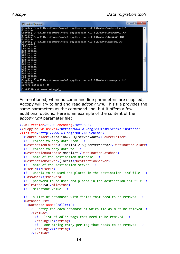| <b>BB</b> Opdrachtprompt                                                            | $\overline{\mathbf{x}}$<br>$\frac{1}{2}$ |
|-------------------------------------------------------------------------------------|------------------------------------------|
| Copying C:\adlib software\model application 4.2 SQL\data\subscrip.inf               |                                          |
| Ø copied<br>Copying C:\adlib software\model application 4.2 SQL\data\SUPPLANG.INF   |                                          |
| 6 copied<br>Copying C:\adlib software\model application 4.2 SQL\data\TAXONOM.INF    |                                          |
| 0 copied<br>Copying C:\adlib software\model application 4.2 SQL\data\thesau.inf     |                                          |
| 50 copied<br>100 copied                                                             |                                          |
| 150 copied<br>200 copied                                                            |                                          |
| 250 copied<br>300 copied                                                            |                                          |
| 350 copied<br>400 copied                                                            | Ξ                                        |
| 450 copied                                                                          |                                          |
| 500 copied<br>550 copied                                                            |                                          |
| 600 copied                                                                          |                                          |
| 650 copied<br>700 copied                                                            |                                          |
| 750 copied                                                                          |                                          |
| 769 copied<br>Copying C:∖adlib software\model application 4.2 SQL\data\transpor.inf |                                          |
| 0 copied                                                                            |                                          |
| Errors detected: 0                                                                  |                                          |
| C:\Adlib software\adcopy>_                                                          |                                          |

As mentioned, when no command line parameters are supplied, Adcopy will try to find and read *adcopy.xml.* This file provides the same parameters as the command line, but it offers a few additional options. Here is an example of the content of the *adcopy.xml* parameter file:

```
<?xml version="1.0" encoding="utf-8"?>
<AdCopyJob xmlns:xsi="http://www.w3.org/2001/XMLSchema-instance"
xmlns:xsd="http://www.w3.org/2001/XMLSchema">
   <SourceFolder>C:\adlib4.2-SQLserver\data</SourceFolder>
   <!-- folder to copy data from -->
   <DestinationFolder>C:\adlib4.2-SQLserver\data2</DestinationFolder>
   <!-- folder to copy data to --> 
   <DestinationDatabase>model42t</DestinationDatabase>
   <!-- name of the destination database -->
   <DestinationServer>(local)</DestinationServer>
   <!-- name of the destination server -->
   <UserId></UserId>
   <!-- userid to be used and placed in the destination .inf file -->
   <Password></Password>
   <!-- password to be used and placed in the destination inf file-->
   <MileStone>50</MileStone>
   <!-- milestone value -->
   <!-- a list of databases with fields that need to be removed -->
   <DatabaseList>
     <Database Name="collect">
       <!--entry for each database of which fields must be removed-->
       <Exclude>
         <!-- list of Adlib tags that need to be removed -->
        <string>ls</string>
        <!-- one string entry per tag that needs to be removed -->
         <string>VY</string>
       </Exclude>
```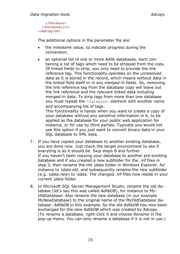</Database> </DatabaseList> </AdCopyJob>

The additional options in the parameter file are:

- the milestone value, to indicate progress during the conversion;
- an optional list of one or more Adlib databases, each containing a list of tags which need to be stripped from the copy. Of linked fields to strip, you only need to provide the link reference tag. This functionality operates on the unresolved data as it is stored in the record, which means without data in the linked field itself or in any merged-in fields. So, removing the link reference tag from the database copy will leave out the link reference and the relevant linked data including merged-in data. To strip tags from more than one database you must repeat the <Database> element with another name and accompanying list of tags.

This functionality is handy when you want to create a copy of your database without any sensitive information in it, to be applied as the database for your public web application for instance, or for use by third parties. Typically you would not use this option if you just want to convert binary data in your SQL database to XML data.

- 7. If you have copied your database to another existing database, you are done now. Just check the target environment to see if everyting is as it should be. Skip steps 8 and further. If you haven't been copying your database to another pre-existing database and if you created a new subfolder for the .inf files in step 3, then rename the old *\data* folder in Windows Explorer, for instance to *\data.old*, and subsequently rename the new subfolder (e.g. *\data.new*) to *\data*. The changed .inf files now reside in your current *\data* folder.
- 8. In Microsoft SQL Server Management Studio, rename the old database (let's say this was called *AdlibDB*), for instance to *My-OldDatabase*. Also rename the new database (in our example *MyNewDatabase*) to the original name of the *MyOldDatabase* database: *AdlibDB* in this example. So the old *AdlibDB* has now been exchanged for the new *AdlibDB* which was created by Adcopy. (To rename a database, right-click it and choose *Rename* in the pop-up menu. You can only rename a database if it is not in use.)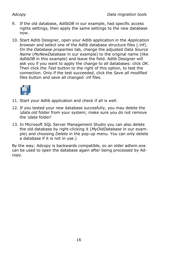- 9. If the old database, *AdlibDB* in our example, had specific access rights settings, then apply the same settings to the new database now.
- 10. Start Adlib Designer, open your Adlib application in the *Application browser* and select one of the Adlib database structure files (.inf). On the *Database properties* tab, change the adjusted *Data Source Name* (*MyNewDatabase* in our example) to the original name (like *AdlibDB* in this example) and leave the field. Adlib Designer will ask you if you want to apply the change to all databases: click *OK*. Then click the *Test* button to the right of this option, to test the connection. Only if the test succeeded, click the *Save all modified files* button and save all changed .inf files.



- 11. Start your Adlib application and check if all is well.
- 12. If you tested your new database succesfully, you may delete the *\data.old* folder from your system; make sure you do not remove the *\data* folder!
- 13. In Microsoft SQL Server Management Studio you can also delete the old database by right-clicking it (*MyOldDatabase* in our example) and choosing *Delete* in the pop-up menu. You can only delete a database if it is not in use.)

By the way: Adcopy is backwards compatible, so an older adlwin.exe can be used to open the database again after being processed by Adcopy.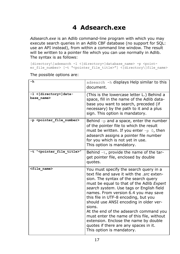# <span id="page-18-0"></span>**4 Adsearch.exe**

*Adsearch.exe* is an Adlib command-line program with which you may execute search queries in an Adlib CBF database (no support for SQL: use an API instead), from within a command line window. The result will be written to a pointer file which you can use normally in Adlib. The syntax is as follows:

[directory\]adsearch -1 <[directory+]database\_name> -p <pointer file number> [-t "<pointer file title>"] <[directory\]file name>

| -h                                         | adsearch -h displays Help similar to this<br>document.                                                                                                                                                                                                                                                                                                                                                                                                                                                                                                          |
|--------------------------------------------|-----------------------------------------------------------------------------------------------------------------------------------------------------------------------------------------------------------------------------------------------------------------------------------------------------------------------------------------------------------------------------------------------------------------------------------------------------------------------------------------------------------------------------------------------------------------|
| -1 <[directory+]data-<br>base name>        | (This is the lowercase letter L.) Behind a<br>space, fill in the name of the Adlib data-<br>base you want to search, preceded (if<br>necessary) by the path to it and a plus<br>sign. This option is mandatory.                                                                                                                                                                                                                                                                                                                                                 |
| -p <pointer_file number=""></pointer_file> | Behind $-p$ and a space, enter the number<br>of the pointer file to which the result<br>must be written. If you enter $-p$ 0, then<br>adsearch assigns a pointer file number<br>for you which is not yet in use.<br>This option is mandatory.                                                                                                                                                                                                                                                                                                                   |
| -t " <pointer file="" title="">"</pointer> | Behind $-t$ , provide the name of the tar-<br>get pointer file, enclosed by double<br>quotes.                                                                                                                                                                                                                                                                                                                                                                                                                                                                   |
| <file name=""></file>                      | You must specify the search query in a<br>text file and save it with the .src exten-<br>sion. The syntax of the search query<br>must be equal to that of the Adlib Expert<br>search system. Use tags or English field<br>names. From version 6.4 you may save<br>this file in UTF-8 encoding, but you<br>should use ANSI encoding in older ver-<br>sions.<br>At the end of the adsearch command you<br>must enter the name of this file, without<br>extension. Enclose the name by double<br>quotes if there are any spaces in it.<br>This option is mandatory. |

The possible options are: